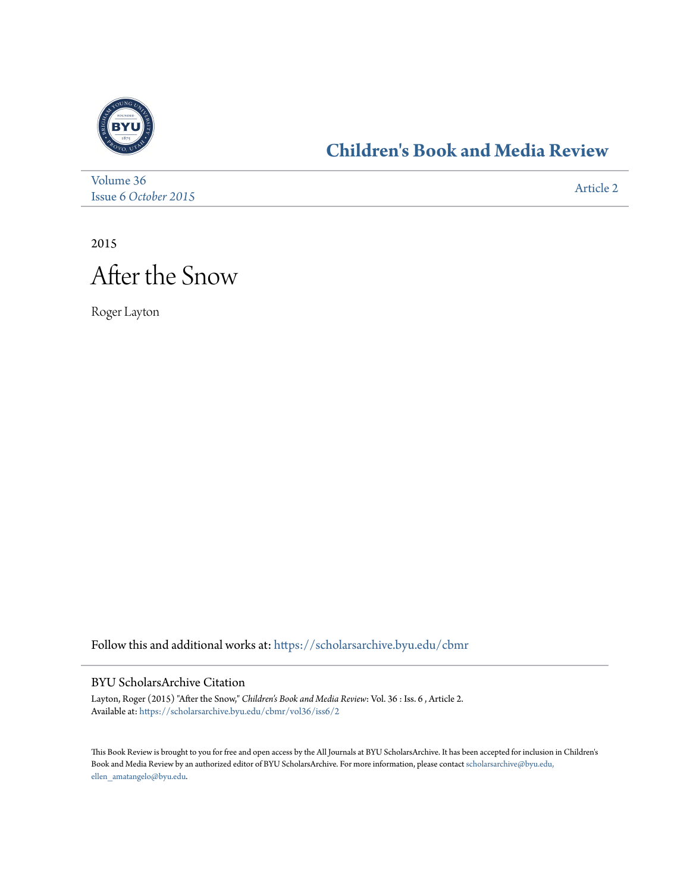

## **[Children's Book and Media Review](https://scholarsarchive.byu.edu/cbmr?utm_source=scholarsarchive.byu.edu%2Fcbmr%2Fvol36%2Fiss6%2F2&utm_medium=PDF&utm_campaign=PDFCoverPages)**

| Volume 36            | Article 2 |
|----------------------|-----------|
| Issue 6 October 2015 |           |

2015

## After the Snow

Roger Layton

Follow this and additional works at: [https://scholarsarchive.byu.edu/cbmr](https://scholarsarchive.byu.edu/cbmr?utm_source=scholarsarchive.byu.edu%2Fcbmr%2Fvol36%2Fiss6%2F2&utm_medium=PDF&utm_campaign=PDFCoverPages)

## BYU ScholarsArchive Citation

Layton, Roger (2015) "After the Snow," *Children's Book and Media Review*: Vol. 36 : Iss. 6 , Article 2. Available at: [https://scholarsarchive.byu.edu/cbmr/vol36/iss6/2](https://scholarsarchive.byu.edu/cbmr/vol36/iss6/2?utm_source=scholarsarchive.byu.edu%2Fcbmr%2Fvol36%2Fiss6%2F2&utm_medium=PDF&utm_campaign=PDFCoverPages)

This Book Review is brought to you for free and open access by the All Journals at BYU ScholarsArchive. It has been accepted for inclusion in Children's Book and Media Review by an authorized editor of BYU ScholarsArchive. For more information, please contact [scholarsarchive@byu.edu,](mailto:scholarsarchive@byu.edu,%20ellen_amatangelo@byu.edu) [ellen\\_amatangelo@byu.edu.](mailto:scholarsarchive@byu.edu,%20ellen_amatangelo@byu.edu)